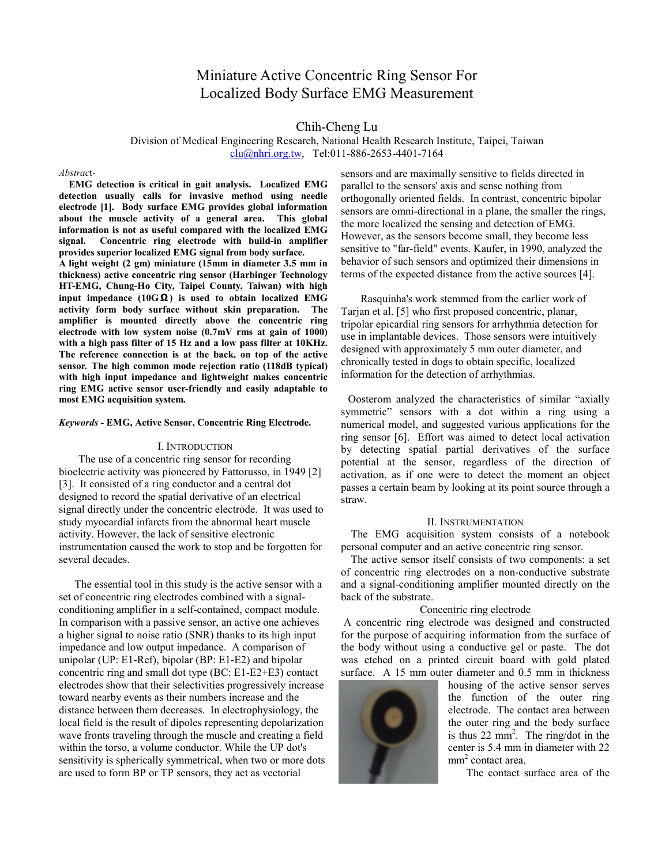# Miniature Active Concentric Ring Sensor For Localized Body Surface EMG Measurement

Chih-Cheng Lu

Division of Medical Engineering Research, National Health Research Institute, Taipei, Taiwan clu@nhri.org.tw, Tel:011-886-2653-4401-7164

### *Abstrac*t-

**EMG detection is critical in gait analysis. Localized EMG detection usually calls for invasive method using needle electrode [1]. Body surface EMG provides global information about the muscle activity of a general area. This global information is not as useful compared with the localized EMG signal. Concentric ring electrode with build-in amplifier provides superior localized EMG signal from body surface.** 

**A light weight (2 gm) miniature (15mm in diameter 3.5 mm in thickness) active concentric ring sensor (Harbinger Technology HT-EMG, Chung-Ho City, Taipei County, Taiwan) with high input impedance (10GΩ ) is used to obtain localized EMG activity form body surface without skin preparation. The amplifier is mounted directly above the concentric ring electrode with low system noise (0.7mV rms at gain of 1000) with a high pass filter of 15 Hz and a low pass filter at 10KHz. The reference connection is at the back, on top of the active sensor. The high common mode rejection ratio (118dB typical) with high input impedance and lightweight makes concentric ring EMG active sensor user-friendly and easily adaptable to most EMG acquisition system.** 

*Keywords -* **EMG, Active Sensor, Concentric Ring Electrode.** 

#### I. INTRODUCTION

The use of a concentric ring sensor for recording bioelectric activity was pioneered by Fattorusso, in 1949 [2] [3]. It consisted of a ring conductor and a central dot designed to record the spatial derivative of an electrical signal directly under the concentric electrode. It was used to study myocardial infarcts from the abnormal heart muscle activity. However, the lack of sensitive electronic instrumentation caused the work to stop and be forgotten for several decades.

The essential tool in this study is the active sensor with a set of concentric ring electrodes combined with a signalconditioning amplifier in a self-contained, compact module. In comparison with a passive sensor, an active one achieves a higher signal to noise ratio (SNR) thanks to its high input impedance and low output impedance. A comparison of unipolar (UP: E1-Ref), bipolar (BP: E1-E2) and bipolar concentric ring and small dot type (BC: E1-E2+E3) contact electrodes show that their selectivities progressively increase toward nearby events as their numbers increase and the distance between them decreases. In electrophysiology, the local field is the result of dipoles representing depolarization wave fronts traveling through the muscle and creating a field within the torso, a volume conductor. While the UP dot's sensitivity is spherically symmetrical, when two or more dots are used to form BP or TP sensors, they act as vectorial

sensors and are maximally sensitive to fields directed in parallel to the sensors' axis and sense nothing from orthogonally oriented fields. In contrast, concentric bipolar sensors are omni-directional in a plane, the smaller the rings, the more localized the sensing and detection of EMG. However, as the sensors become small, they become less sensitive to "far-field" events. Kaufer, in 1990, analyzed the behavior of such sensors and optimized their dimensions in terms of the expected distance from the active sources [4].

Rasquinha's work stemmed from the earlier work of Tarjan et al. [5] who first proposed concentric, planar, tripolar epicardial ring sensors for arrhythmia detection for use in implantable devices. Those sensors were intuitively designed with approximately 5 mm outer diameter, and chronically tested in dogs to obtain specific, localized information for the detection of arrhythmias.

Oosterom analyzed the characteristics of similar "axially symmetric" sensors with a dot within a ring using a numerical model, and suggested various applications for the ring sensor [6]. Effort was aimed to detect local activation by detecting spatial partial derivatives of the surface potential at the sensor, regardless of the direction of activation, as if one were to detect the moment an object passes a certain beam by looking at its point source through a straw.

## II. INSTRUMENTATION

The EMG acquisition system consists of a notebook personal computer and an active concentric ring sensor.

The active sensor itself consists of two components: a set of concentric ring electrodes on a non-conductive substrate and a signal-conditioning amplifier mounted directly on the back of the substrate.

## Concentric ring electrode

 A concentric ring electrode was designed and constructed for the purpose of acquiring information from the surface of the body without using a conductive gel or paste. The dot was etched on a printed circuit board with gold plated surface. A 15 mm outer diameter and 0.5 mm in thickness



housing of the active sensor serves the function of the outer ring electrode. The contact area between the outer ring and the body surface is thus 22 mm<sup>2</sup>. The ring/dot in the center is 5.4 mm in diameter with 22 mm<sup>2</sup> contact area.

The contact surface area of the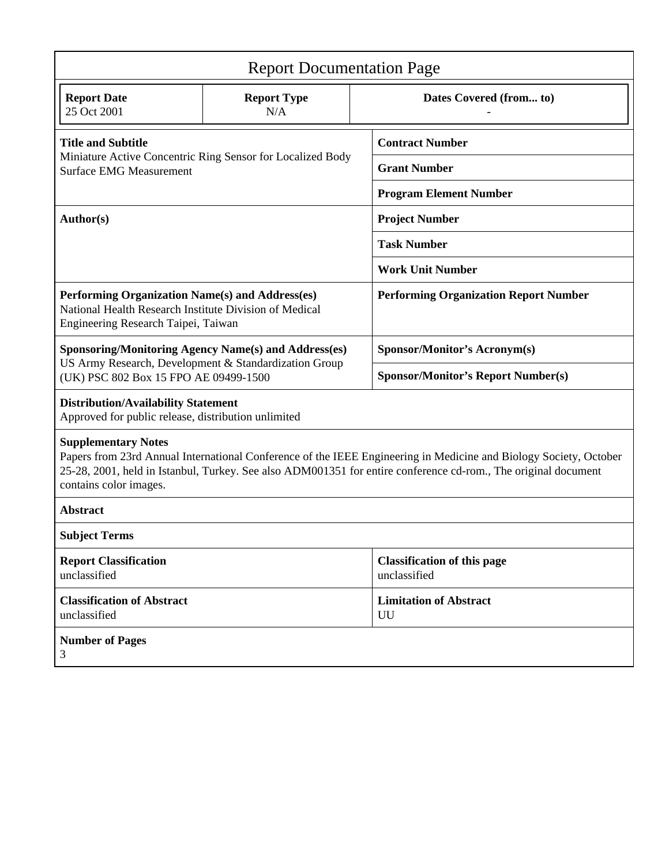| <b>Report Documentation Page</b>                                                                                                                                                                                                                                                            |                           |                                                    |  |  |
|---------------------------------------------------------------------------------------------------------------------------------------------------------------------------------------------------------------------------------------------------------------------------------------------|---------------------------|----------------------------------------------------|--|--|
| <b>Report Date</b><br>25 Oct 2001                                                                                                                                                                                                                                                           | <b>Report Type</b><br>N/A | Dates Covered (from to)                            |  |  |
| <b>Title and Subtitle</b><br>Miniature Active Concentric Ring Sensor for Localized Body<br><b>Surface EMG Measurement</b>                                                                                                                                                                   |                           | <b>Contract Number</b>                             |  |  |
|                                                                                                                                                                                                                                                                                             |                           | <b>Grant Number</b>                                |  |  |
|                                                                                                                                                                                                                                                                                             |                           | <b>Program Element Number</b>                      |  |  |
| Author(s)                                                                                                                                                                                                                                                                                   |                           | <b>Project Number</b>                              |  |  |
|                                                                                                                                                                                                                                                                                             |                           | <b>Task Number</b>                                 |  |  |
|                                                                                                                                                                                                                                                                                             |                           | <b>Work Unit Number</b>                            |  |  |
| Performing Organization Name(s) and Address(es)<br>National Health Research Institute Division of Medical<br>Engineering Research Taipei, Taiwan                                                                                                                                            |                           | <b>Performing Organization Report Number</b>       |  |  |
| <b>Sponsoring/Monitoring Agency Name(s) and Address(es)</b><br>US Army Research, Development & Standardization Group<br>(UK) PSC 802 Box 15 FPO AE 09499-1500                                                                                                                               |                           | Sponsor/Monitor's Acronym(s)                       |  |  |
|                                                                                                                                                                                                                                                                                             |                           | <b>Sponsor/Monitor's Report Number(s)</b>          |  |  |
| <b>Distribution/Availability Statement</b><br>Approved for public release, distribution unlimited                                                                                                                                                                                           |                           |                                                    |  |  |
| <b>Supplementary Notes</b><br>Papers from 23rd Annual International Conference of the IEEE Engineering in Medicine and Biology Society, October<br>25-28, 2001, held in Istanbul, Turkey. See also ADM001351 for entire conference cd-rom., The original document<br>contains color images. |                           |                                                    |  |  |
| <b>Abstract</b>                                                                                                                                                                                                                                                                             |                           |                                                    |  |  |
| <b>Subject Terms</b>                                                                                                                                                                                                                                                                        |                           |                                                    |  |  |
| <b>Report Classification</b><br>unclassified                                                                                                                                                                                                                                                |                           | <b>Classification of this page</b><br>unclassified |  |  |
| <b>Classification of Abstract</b><br>unclassified                                                                                                                                                                                                                                           |                           | <b>Limitation of Abstract</b><br>UU                |  |  |
| <b>Number of Pages</b><br>3                                                                                                                                                                                                                                                                 |                           |                                                    |  |  |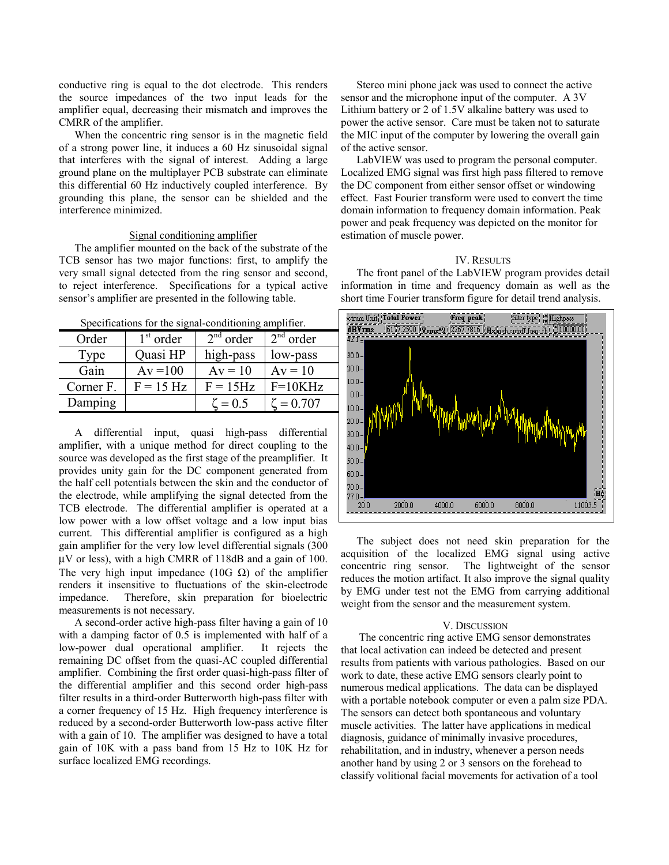conductive ring is equal to the dot electrode. This renders the source impedances of the two input leads for the amplifier equal, decreasing their mismatch and improves the CMRR of the amplifier.

When the concentric ring sensor is in the magnetic field of a strong power line, it induces a 60 Hz sinusoidal signal that interferes with the signal of interest. Adding a large ground plane on the multiplayer PCB substrate can eliminate this differential 60 Hz inductively coupled interference. By grounding this plane, the sensor can be shielded and the interference minimized.

#### Signal conditioning amplifier

The amplifier mounted on the back of the substrate of the TCB sensor has two major functions: first, to amplify the very small signal detected from the ring sensor and second, to reject interference. Specifications for a typical active sensor's amplifier are presented in the following table.

Specifications for the signal-conditioning amplifier.

| Order     | $1st$ order | $2nd$ order   | $2nd$ order     |
|-----------|-------------|---------------|-----------------|
| Type      | Quasi HP    | high-pass     | low-pass        |
| Gain      | $Av = 100$  | $Av = 10$     | $Av = 10$       |
| Corner F. | $F = 15 Hz$ | $F = 15$ Hz   | $F=10KHz$       |
| Damping   |             | $\zeta = 0.5$ | $\zeta = 0.707$ |

 A differential input, quasi high-pass differential amplifier, with a unique method for direct coupling to the source was developed as the first stage of the preamplifier. It provides unity gain for the DC component generated from the half cell potentials between the skin and the conductor of the electrode, while amplifying the signal detected from the TCB electrode. The differential amplifier is operated at a low power with a low offset voltage and a low input bias current. This differential amplifier is configured as a high gain amplifier for the very low level differential signals (300 µV or less), with a high CMRR of 118dB and a gain of 100. The very high input impedance (10G  $\Omega$ ) of the amplifier renders it insensitive to fluctuations of the skin-electrode impedance. Therefore, skin preparation for bioelectric measurements is not necessary.

A second-order active high-pass filter having a gain of 10 with a damping factor of 0.5 is implemented with half of a low-power dual operational amplifier. It rejects the remaining DC offset from the quasi-AC coupled differential amplifier. Combining the first order quasi-high-pass filter of the differential amplifier and this second order high-pass filter results in a third-order Butterworth high-pass filter with a corner frequency of 15 Hz. High frequency interference is reduced by a second-order Butterworth low-pass active filter with a gain of 10. The amplifier was designed to have a total gain of 10K with a pass band from 15 Hz to 10K Hz for surface localized EMG recordings.

Stereo mini phone jack was used to connect the active sensor and the microphone input of the computer. A 3V Lithium battery or 2 of 1.5V alkaline battery was used to power the active sensor. Care must be taken not to saturate the MIC input of the computer by lowering the overall gain of the active sensor.

LabVIEW was used to program the personal computer. Localized EMG signal was first high pass filtered to remove the DC component from either sensor offset or windowing effect. Fast Fourier transform were used to convert the time domain information to frequency domain information. Peak power and peak frequency was depicted on the monitor for estimation of muscle power.

#### IV. RESULTS

The front panel of the LabVIEW program provides detail information in time and frequency domain as well as the short time Fourier transform figure for detail trend analysis.



The subject does not need skin preparation for the acquisition of the localized EMG signal using active concentric ring sensor. The lightweight of the sensor reduces the motion artifact. It also improve the signal quality by EMG under test not the EMG from carrying additional weight from the sensor and the measurement system.

### V. DISCUSSION

The concentric ring active EMG sensor demonstrates that local activation can indeed be detected and present results from patients with various pathologies. Based on our work to date, these active EMG sensors clearly point to numerous medical applications. The data can be displayed with a portable notebook computer or even a palm size PDA. The sensors can detect both spontaneous and voluntary muscle activities. The latter have applications in medical diagnosis, guidance of minimally invasive procedures, rehabilitation, and in industry, whenever a person needs another hand by using 2 or 3 sensors on the forehead to classify volitional facial movements for activation of a tool